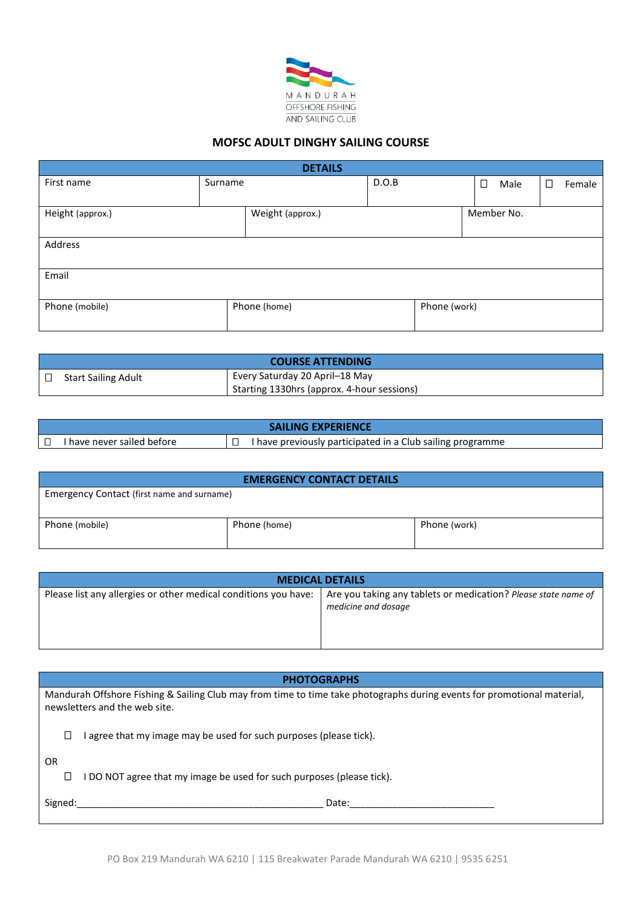

## **MOFSC ADULT DINGHY SAILING COURSE**

| <b>DETAILS</b>   |         |                  |       |              |        |            |        |
|------------------|---------|------------------|-------|--------------|--------|------------|--------|
| First name       | Surname |                  | D.O.B |              | $\Box$ | Male       | Female |
|                  |         |                  |       |              |        |            |        |
| Height (approx.) |         | Weight (approx.) |       |              |        | Member No. |        |
|                  |         |                  |       |              |        |            |        |
| Address          |         |                  |       |              |        |            |        |
|                  |         |                  |       |              |        |            |        |
| Email            |         |                  |       |              |        |            |        |
|                  |         |                  |       |              |        |            |        |
| Phone (mobile)   |         | Phone (home)     |       | Phone (work) |        |            |        |
|                  |         |                  |       |              |        |            |        |

| <b>COURSE ATTENDING</b>    |                                            |                                |
|----------------------------|--------------------------------------------|--------------------------------|
| <b>Start Sailing Adult</b> |                                            | Every Saturday 20 April–18 May |
|                            | Starting 1330hrs (approx. 4-hour sessions) |                                |

| <b>SAILING EXPERIENCE</b> |                            |  |                                                            |
|---------------------------|----------------------------|--|------------------------------------------------------------|
|                           | I have never sailed before |  | I have previously participated in a Club sailing programme |

| <b>EMERGENCY CONTACT DETAILS</b>           |              |              |  |  |
|--------------------------------------------|--------------|--------------|--|--|
| Emergency Contact (first name and surname) |              |              |  |  |
|                                            |              |              |  |  |
| Phone (mobile)                             | Phone (home) | Phone (work) |  |  |
|                                            |              |              |  |  |

| <b>MEDICAL DETAILS</b>                                                                                                           |                     |  |  |  |
|----------------------------------------------------------------------------------------------------------------------------------|---------------------|--|--|--|
| Please list any allergies or other medical conditions you have:   Are you taking any tablets or medication? Please state name of | medicine and dosage |  |  |  |

| <b>PHOTOGRAPHS</b>                                                                                                                                       |                                                                            |  |  |  |  |
|----------------------------------------------------------------------------------------------------------------------------------------------------------|----------------------------------------------------------------------------|--|--|--|--|
| Mandurah Offshore Fishing & Sailing Club may from time to time take photographs during events for promotional material,<br>newsletters and the web site. |                                                                            |  |  |  |  |
|                                                                                                                                                          | agree that my image may be used for such purposes (please tick).<br>$\Box$ |  |  |  |  |
| OR                                                                                                                                                       | DO NOT agree that my image be used for such purposes (please tick).<br>Ш   |  |  |  |  |
| Signed:                                                                                                                                                  | Date:                                                                      |  |  |  |  |